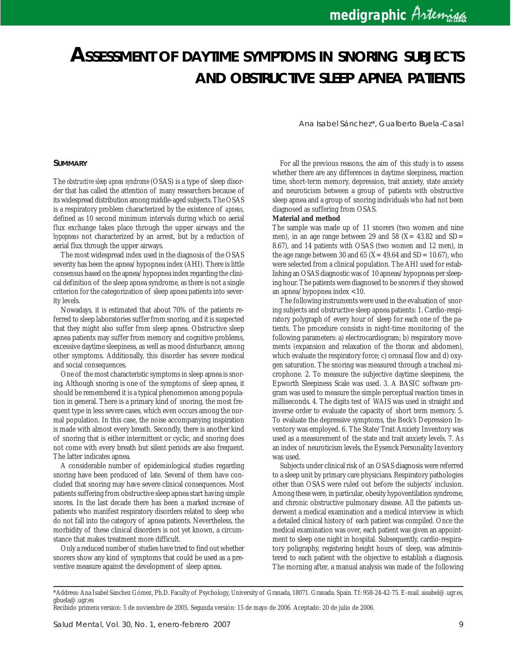# *ASSESSMENT OF DAYTIME SYMPTOMS IN SNORING SUBJECTS AND OBSTRUCTIVE SLEEP APNEA PATIENTS*

Ana Isabel Sánchez\*, Gualberto Buela-Casal

#### **SUMMARY**

The *obstructive sleep apnea syndrome* (OSAS) is a type of sleep disorder that has called the attention of many researchers because of its widespread distribution among middle-aged subjects. The OSAS is a respiratory problem characterized by the existence of *apneas*, defined as 10 second minimum intervals during which no aerial flux exchange takes place through the upper airways and the *hypopneas* not characterized by an arrest, but by a reduction of aerial flux through the upper airways.

The most widespread index used in the diagnosis of the OSAS severity has been the apnea/hypopnea index (AHI). There is little consensus based on the apnea/hypopnea index regarding the clinical definition of the sleep apnea syndrome, as there is not a single criterion for the categorization of sleep apnea patients into severity levels.

Nowadays, it is estimated that about 70% of the patients referred to sleep laboratories suffer from snoring, and it is suspected that they might also suffer from sleep apnea. Obstructive sleep apnea patients may suffer from memory and cognitive problems, excessive daytime sleepiness, as well as mood disturbance, among other symptoms. Additionally, this disorder has severe medical and social consequences.

One of the most characteristic symptoms in sleep apnea is snoring. Although snoring is one of the symptoms of sleep apnea, it should be remembered it is a typical phenomenon among population in general. There is a primary kind of snoring, the most frequent type in less severe cases, which even occurs among the normal population. In this case, the noise accompanying inspiration is made with almost every breath. Secondly, there is another kind of snoring that is either intermittent or cyclic, and snoring does not come with every breath but silent periods are also frequent. The latter indicates apnea.

A considerable number of epidemiological studies regarding snoring have been produced of late. Several of them have concluded that snoring may have severe clinical consequences. Most patients suffering from obstructive sleep apnea start having simple snores. In the last decade there has been a marked increase of patients who manifest respiratory disorders related to sleep who do not fall into the category of apnea patients. Nevertheless, the morbidity of these clinical disorders is not yet known, a circumstance that makes treatment more difficult.

Only a reduced number of studies have tried to find out whether snorers show any kind of symptoms that could be used as a preventive measure against the development of sleep apnea.

For all the previous reasons, the aim of this study is to assess whether there are any differences in daytime sleepiness, reaction time, short-term memory, depression, trait anxiety, state anxiety and neuroticism between a group of patients with obstructive sleep apnea and a group of snoring individuals who had not been diagnosed as suffering from OSAS.

#### **Material and method**

The sample was made up of 11 snorers (two women and nine men), in an age range between 29 and 58 ( $X = 43.82$  and SD= 8.67), and 14 patients with OSAS (two women and 12 men), in the age range between 30 and 65 ( $X = 49.64$  and SD= 10.67), who were selected from a clinical population. The AHI used for establishing an OSAS diagnostic was of 10 apneas/hypopneas per sleeping hour. The patients were diagnosed to be snorers if they showed an apnea/hypopnea index <10.

The following instruments were used in the evaluation of snoring subjects and obstructive sleep apnea patients: 1. Cardio-respiratory polygraph of every hour of sleep for each one of the patients. The procedure consists in night-time monitoring of the following parameters: a) electrocardiogram; b) respiratory movements (expansion and relaxation of the thorax and abdomen), which evaluate the respiratory force; c) oronasal flow and d) oxygen saturation. The snoring was measured through a tracheal microphone. 2. To measure the subjective daytime sleepiness, the Epworth Sleepiness Scale was used. 3. A BASIC software program was used to measure the simple perceptual reaction times in milliseconds. 4. The digits test of WAIS was used in straight and inverse order to evaluate the capacity of short term memory. 5. To evaluate the depressive symptoms, the Beck's Depression Inventory was employed. 6. The State/Trait Anxiety Inventory was used as a measurement of the state and trait anxiety levels. 7. As an index of neuroticism levels, the Eysenck Personality Inventory was used.

Subjects under clinical risk of an OSAS diagnosis were referred to a sleep unit by primary care physicians. Respiratory pathologies other than OSAS were ruled out before the subjects' inclusion. Among these were, in particular, obesity hypoventilation syndrome, and chronic obstructive pulmonary disease. All the patients underwent a medical examination and a medical interview in which a detailed clinical history of each patient was compiled. Once the medical examination was over, each patient was given an appointment to sleep one night in hospital. Subsequently, cardio-respiratory poligraphy, registering height hours of sleep, was administered to each patient with the objective to establish a diagnosis. The morning after, a manual analysis was made of the following

<sup>\*</sup>Address: Ana Isabel Sánchez Gómez, Ph.D. Faculty of Psychology, University of Granada, 18071. Granada. Spain. Tf: 958-24-42-75. E-mail. aisabel@.ugr.es, gbuela@.ugr.es

Recibido primera version: 5 de noviembre de 2005. Segunda versión: 15 de mayo de 2006. Aceptado: 20 de julio de 2006.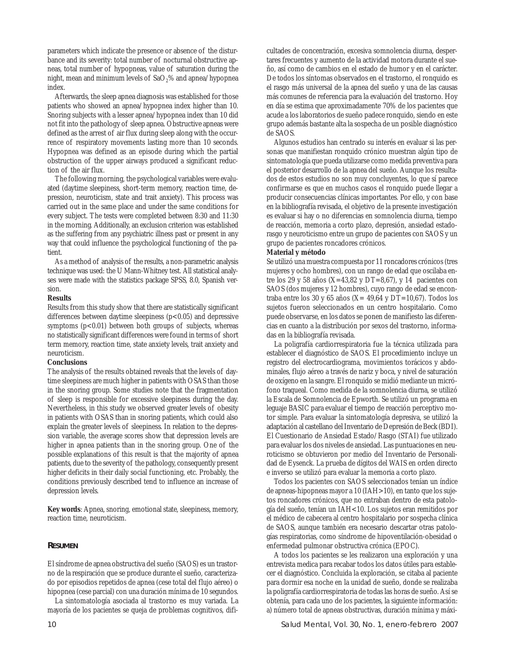parameters which indicate the presence or absence of the disturbance and its severity: total number of nocturnal obstructive apneas, total number of hypopneas, value of saturation during the night, mean and minimum levels of  $a_2\%$  and apnea/hypopnea index.

Afterwards, the sleep apnea diagnosis was established for those patients who showed an apnea/hypopnea index higher than 10. Snoring subjects with a lesser apnea/hypopnea index than 10 did not fit into the pathology of sleep apnea. Obstructive apneas were defined as the arrest of air flux during sleep along with the occurrence of respiratory movements lasting more than 10 seconds. Hypopnea was defined as an episode during which the partial obstruction of the upper airways produced a significant reduction of the air flux.

The following morning, the psychological variables were evaluated (daytime sleepiness, short-term memory, reaction time, depression, neuroticism, state and trait anxiety). This process was carried out in the same place and under the same conditions for every subject. The tests were completed between 8:30 and 11:30 in the morning. Additionally, an exclusion criterion was established as the suffering from any psychiatric illness past or present in any way that could influence the psychological functioning of the patient.

As a method of analysis of the results, a non-parametric analysis technique was used: the U Mann-Whitney test. All statistical analyses were made with the statistics package SPSS, 8.0, Spanish version.

#### **Results**

Results from this study show that there are statistically significant differences between daytime sleepiness  $(p<0.05)$  and depressive symptoms  $(p<0.01)$  between both groups of subjects, whereas no statistically significant differences were found in terms of short term memory, reaction time, state anxiety levels, trait anxiety and neuroticism.

#### **Conclusions**

The analysis of the results obtained reveals that the levels of daytime sleepiness are much higher in patients with OSAS than those in the snoring group. Some studies note that the fragmentation of sleep is responsible for excessive sleepiness during the day. Nevertheless, in this study we observed greater levels of obesity in patients with OSAS than in snoring patients, which could also explain the greater levels of sleepiness. In relation to the depression variable, the average scores show that depression levels are higher in apnea patients than in the snoring group. One of the possible explanations of this result is that the majority of apnea patients, due to the severity of the pathology, consequently present higher deficits in their daily social functioning, etc. Probably, the conditions previously described tend to influence an increase of depression levels.

**Key words**: Apnea, snoring, emotional state, sleepiness, memory, reaction time, neuroticism.

### **RESUMEN**

El síndrome de apnea obstructiva del sueño (SAOS) es un trastorno de la respiración que se produce durante el sueño, caracterizado por episodios repetidos de apnea (cese total del flujo aéreo) o hipopnea (cese parcial) con una duración mínima de 10 segundos.

La sintomatología asociada al trastorno es muy variada. La mayoría de los pacientes se queja de problemas cognitivos, dificultades de concentración, excesiva somnolencia diurna, despertares frecuentes y aumento de la actividad motora durante el sueño, así como de cambios en el estado de humor y en el carácter. De todos los síntomas observados en el trastorno, el ronquido es el rasgo más universal de la apnea del sueño y una de las causas más comunes de referencia para la evaluación del trastorno. Hoy en día se estima que aproximadamente 70% de los pacientes que acude a los laboratorios de sueño padece ronquido, siendo en este grupo además bastante alta la sospecha de un posible diagnóstico de SAOS.

Algunos estudios han centrado su interés en evaluar si las personas que manifiestan ronquido crónico muestran algún tipo de sintomatología que pueda utilizarse como medida preventiva para el posterior desarrollo de la apnea del sueño. Aunque los resultados de estos estudios no son muy concluyentes, lo que sí parece confirmarse es que en muchos casos el ronquido puede llegar a producir consecuencias clínicas importantes. Por ello, y con base en la bibliografía revisada, el objetivo de la presente investigación es evaluar si hay o no diferencias en somnolencia diurna, tiempo de reacción, memoria a corto plazo, depresión, ansiedad estadorasgo y neuroticismo entre un grupo de pacientes con SAOS y un grupo de pacientes roncadores crónicos.

#### **Material y método**

Se utilizó una muestra compuesta por 11 roncadores crónicos (tres mujeres y ocho hombres), con un rango de edad que oscilaba entre los 29 y 58 años (X=43,82 y DT=8,67), y 14 pacientes con SAOS (dos mujeres y 12 hombres), cuyo rango de edad se encontraba entre los 30 y 65 años (X= 49,64 y DT=10,67). Todos los sujetos fueron seleccionados en un centro hospitalario. Como puede observarse, en los datos se ponen de manifiesto las diferencias en cuanto a la distribución por sexos del trastorno, informadas en la bibliografía revisada.

La poligrafía cardiorrespiratoria fue la técnica utilizada para establecer el diagnóstico de SAOS. El procedimiento incluye un registro del electrocardiograma, movimientos torácicos y abdominales, flujo aéreo a través de nariz y boca, y nivel de saturación de oxígeno en la sangre. El ronquido se midió mediante un micrófono traqueal. Como medida de la somnolencia diurna, se utilizó la Escala de Somnolencia de Epworth. Se utilizó un programa en leguaje BASIC para evaluar el tiempo de reacción perceptivo motor simple. Para evaluar la sintomatología depresiva, se utilizó la adaptación al castellano del Inventario de Depresión de Beck (BDI). El Cuestionario de Ansiedad Estado/Rasgo (STAI) fue utilizado para evaluar los dos niveles de ansiedad. Las puntuaciones en neuroticismo se obtuvieron por medio del Inventario de Personalidad de Eysenck. La prueba de dígitos del WAIS en orden directo e inverso se utilizó para evaluar la memoria a corto plazo.

Todos los pacientes con SAOS seleccionados tenían un índice de apneas-hipopneas mayor a 10 (IAH>10), en tanto que los sujetos roncadores crónicos, que no entraban dentro de esta patología del sueño, tenían un IAH<10. Los sujetos eran remitidos por el médico de cabecera al centro hospitalario por sospecha clínica de SAOS, aunque también era necesario descartar otras patologías respiratorias, como síndrome de hipoventilación-obesidad o enfermedad pulmonar obstructiva crónica (EPOC).

A todos los pacientes se les realizaron una exploración y una entrevista medica para recabar todos los datos útiles para establecer el diagnóstico. Concluida la exploración, se citaba al paciente para dormir esa noche en la unidad de sueño, donde se realizaba la poligrafía cardiorrespiratoria de todas las horas de sueño. Así se obtenía, para cada uno de los pacientes, la siguiente información: a) número total de apneas obstructivas, duración mínima y máxi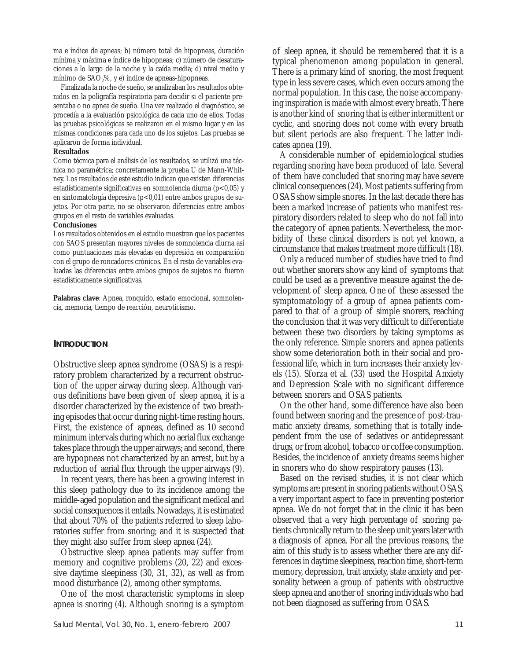ma e índice de apneas; b) número total de hipopneas, duración mínima y máxima e índice de hipopneas; c) número de desaturaciones a lo largo de la noche y la caída media; d) nivel medio y mínimo de SAO<sub>2</sub>%, y e) índice de apneas-hipopneas.

Finalizada la noche de sueño, se analizaban los resultados obtenidos en la poligrafía respiratoria para decidir si el paciente presentaba o no apnea de sueño. Una vez realizado el diagnóstico, se procedía a la evaluación psicológica de cada uno de ellos. Todas las pruebas psicológicas se realizaron en el mismo lugar y en las mismas condiciones para cada uno de los sujetos. Las pruebas se aplicaron de forma individual.

### **Resultados**

Como técnica para el análisis de los resultados, se utilizó una técnica no paramétrica; concretamente la prueba U de Mann-Whitney. Los resultados de este estudio indican que existen diferencias estadísticamente significativas en somnolencia diurna (p<0,05) y en sintomatología depresiva (p<0,01) entre ambos grupos de sujetos. Por otra parte, no se observaron diferencias entre ambos grupos en el resto de variables evaluadas.

## **Conclusiones**

Los resultados obtenidos en el estudio muestran que los pacientes con SAOS presentan mayores niveles de somnolencia diurna así como puntuaciones más elevadas en depresión en comparación con el grupo de roncadores crónicos. En el resto de variables evaluadas las diferencias entre ambos grupos de sujetos no fueron estadísticamente significativas.

**Palabras clave**: Apnea, ronquido, estado emocional, somnolencia, memoria, tiempo de reacción, neuroticismo.

## **INTRODUCTION**

Obstructive sleep apnea syndrome (OSAS) is a respiratory problem characterized by a recurrent obstruction of the upper airway during sleep. Although various definitions have been given of sleep apnea, it is a disorder characterized by the existence of two breathing episodes that occur during night-time resting hours. First, the existence of apneas, defined as 10 second minimum intervals during which no aerial flux exchange takes place through the upper airways; and second, there are hypopneas not characterized by an arrest, but by a reduction of aerial flux through the upper airways (9).

In recent years, there has been a growing interest in this sleep pathology due to its incidence among the middle-aged population and the significant medical and social consequences it entails. Nowadays, it is estimated that about 70% of the patients referred to sleep laboratories suffer from snoring; and it is suspected that they might also suffer from sleep apnea (24).

Obstructive sleep apnea patients may suffer from memory and cognitive problems (20, 22) and excessive daytime sleepiness (30, 31, 32), as well as from mood disturbance (2), among other symptoms.

One of the most characteristic symptoms in sleep apnea is snoring (4). Although snoring is a symptom of sleep apnea, it should be remembered that it is a typical phenomenon among population in general. There is a primary kind of snoring, the most frequent type in less severe cases, which even occurs among the normal population. In this case, the noise accompanying inspiration is made with almost every breath. There is another kind of snoring that is either intermittent or cyclic, and snoring does not come with every breath but silent periods are also frequent. The latter indicates apnea (19).

A considerable number of epidemiological studies regarding snoring have been produced of late. Several of them have concluded that snoring may have severe clinical consequences (24). Most patients suffering from OSAS show simple snores. In the last decade there has been a marked increase of patients who manifest respiratory disorders related to sleep who do not fall into the category of apnea patients. Nevertheless, the morbidity of these clinical disorders is not yet known, a circumstance that makes treatment more difficult (18).

Only a reduced number of studies have tried to find out whether snorers show any kind of symptoms that could be used as a preventive measure against the development of sleep apnea. One of these assessed the symptomatology of a group of apnea patients compared to that of a group of simple snorers, reaching the conclusion that it was very difficult to differentiate between these two disorders by taking symptoms as the only reference. Simple snorers and apnea patients show some deterioration both in their social and professional life, which in turn increases their anxiety levels (15). Sforza et al. (33) used the Hospital Anxiety and Depression Scale with no significant difference between snorers and OSAS patients.

On the other hand, some difference have also been found between snoring and the presence of post-traumatic anxiety dreams, something that is totally independent from the use of sedatives or antidepressant drugs, or from alcohol, tobacco or coffee consumption. Besides, the incidence of anxiety dreams seems higher in snorers who do show respiratory pauses (13).

Based on the revised studies, it is not clear which symptoms are present in snoring patients without OSAS, a very important aspect to face in preventing posterior apnea. We do not forget that in the clinic it has been observed that a very high percentage of snoring patients chronically return to the sleep unit years later with a diagnosis of apnea. For all the previous reasons, the aim of this study is to assess whether there are any differences in daytime sleepiness, reaction time, short-term memory, depression, trait anxiety, state anxiety and personality between a group of patients with obstructive sleep apnea and another of snoring individuals who had not been diagnosed as suffering from OSAS.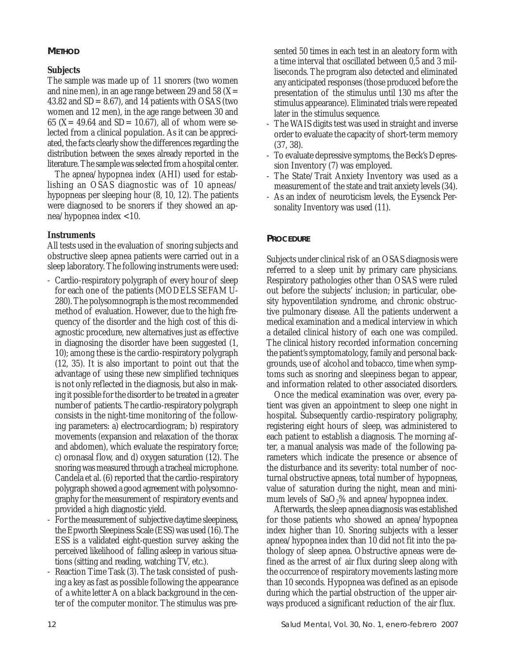# **METHOD**

# **Subjects**

The sample was made up of 11 snorers (two women and nine men), in an age range between 29 and 58 ( $X=$ 43.82 and SD= 8.67), and 14 patients with OSAS (two women and 12 men), in the age range between 30 and 65 (X = 49.64 and SD = 10.67), all of whom were selected from a clinical population. As it can be appreciated, the facts clearly show the differences regarding the distribution between the sexes already reported in the literature. The sample was selected from a hospital center.

The apnea/hypopnea index (AHI) used for establishing an OSAS diagnostic was of 10 apneas/ hypopneas per sleeping hour (8, 10, 12). The patients were diagnosed to be snorers if they showed an apnea/hypopnea index <10.

# **Instruments**

All tests used in the evaluation of snoring subjects and obstructive sleep apnea patients were carried out in a sleep laboratory. The following instruments were used:

- Cardio-respiratory polygraph of every hour of sleep for each one of the patients (MODELS SEFAM U-280). The polysomnograph is the most recommended method of evaluation. However, due to the high frequency of the disorder and the high cost of this diagnostic procedure, new alternatives just as effective in diagnosing the disorder have been suggested (1, 10); among these is the cardio-respiratory polygraph (12, 35). It is also important to point out that the advantage of using these new simplified techniques is not only reflected in the diagnosis, but also in making it possible for the disorder to be treated in a greater number of patients. The cardio-respiratory polygraph consists in the night-time monitoring of the following parameters: a) electrocardiogram; b) respiratory movements (expansion and relaxation of the thorax and abdomen), which evaluate the respiratory force; c) oronasal flow, and d) oxygen saturation (12). The snoring was measured through a tracheal microphone. Candela et al. (6) reported that the cardio-respiratory polygraph showed a good agreement with polysomnography for the measurement of respiratory events and provided a high diagnostic yield.
- For the measurement of subjective daytime sleepiness, the Epworth Sleepiness Scale (ESS) was used (16). The ESS is a validated eight-question survey asking the perceived likelihood of falling asleep in various situations (sitting and reading, watching TV, etc.).
- Reaction Time Task (3). The task consisted of pushing a key as fast as possible following the appearance of a white letter A on a black background in the center of the computer monitor. The stimulus was pre-

sented 50 times in each test in an aleatory form with a time interval that oscillated between 0,5 and 3 milliseconds. The program also detected and eliminated any anticipated responses (those produced before the presentation of the stimulus until 130 ms after the stimulus appearance). Eliminated trials were repeated later in the stimulus sequence.

- The WAIS digits test was used in straight and inverse order to evaluate the capacity of short-term memory (37, 38).
- To evaluate depressive symptoms, the Beck's Depression Inventory (7) was employed.
- The State/Trait Anxiety Inventory was used as a measurement of the state and trait anxiety levels (34).
- As an index of neuroticism levels, the Eysenck Personality Inventory was used (11).

# **PROCEDURE**

Subjects under clinical risk of an OSAS diagnosis were referred to a sleep unit by primary care physicians. Respiratory pathologies other than OSAS were ruled out before the subjects' inclusion; in particular, obesity hypoventilation syndrome, and chronic obstructive pulmonary disease. All the patients underwent a medical examination and a medical interview in which a detailed clinical history of each one was compiled. The clinical history recorded information concerning the patient's symptomatology, family and personal backgrounds, use of alcohol and tobacco, time when symptoms such as snoring and sleepiness began to appear, and information related to other associated disorders.

Once the medical examination was over, every patient was given an appointment to sleep one night in hospital. Subsequently cardio-respiratory poligraphy, registering eight hours of sleep, was administered to each patient to establish a diagnosis. The morning after, a manual analysis was made of the following parameters which indicate the presence or absence of the disturbance and its severity: total number of nocturnal obstructive apneas, total number of hypopneas, value of saturation during the night, mean and minimum levels of  $aO_2\%$  and apnea/hypopnea index.

Afterwards, the sleep apnea diagnosis was established for those patients who showed an apnea/hypopnea index higher than 10. Snoring subjects with a lesser apnea/hypopnea index than 10 did not fit into the pathology of sleep apnea. Obstructive apneas were defined as the arrest of air flux during sleep along with the occurrence of respiratory movements lasting more than 10 seconds. Hypopnea was defined as an episode during which the partial obstruction of the upper airways produced a significant reduction of the air flux.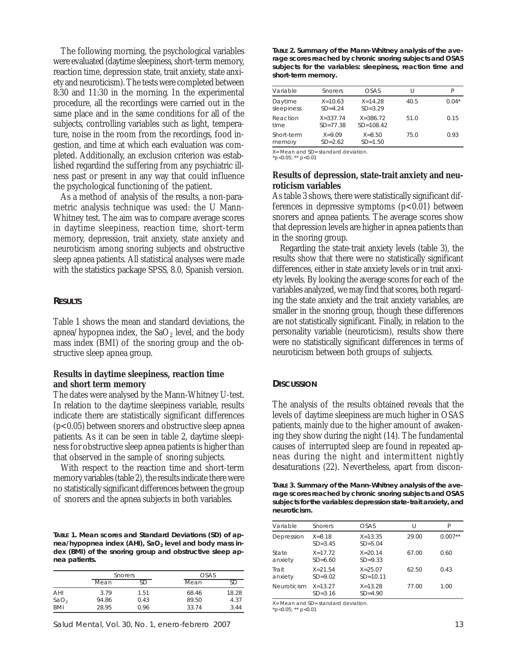The following morning, the psychological variables were evaluated (daytime sleepiness, short-term memory, reaction time, depression state, trait anxiety, state anxiety and neuroticism). The tests were completed between 8:30 and 11:30 in the morning. In the experimental procedure, all the recordings were carried out in the same place and in the same conditions for all of the subjects, controlling variables such as light, temperature, noise in the room from the recordings, food ingestion, and time at which each evaluation was completed. Additionally, an exclusion criterion was established regardind the suffering from any psychiatric illness past or present in any way that could influence the psychological functioning of the patient.

As a method of analysis of the results, a non-parametric analysis technique was used: the U Mann-Whitney test. The aim was to compare average scores in daytime sleepiness, reaction time, short-term memory, depression, trait anxiety, state anxiety and neuroticism among snoring subjects and obstructive sleep apnea patients. All statistical analyses were made with the statistics package SPSS, 8.0, Spanish version.

## **RESULTS**

Table 1 shows the mean and standard deviations, the apnea/hypopnea index, the  $SaO_2$  level, and the body mass index (BMI) of the snoring group and the obstructive sleep apnea group.

## **Results in daytime sleepiness, reaction time and short term memory**

The dates were analysed by the Mann-Whitney U-test. In relation to the daytime sleepiness variable, results indicate there are statistically significant differences (p<0.05) between snorers and obstructive sleep apnea patients. As it can be seen in table 2, daytime sleepiness for obstructive sleep apnea patients is higher than that observed in the sample of snoring subjects.

With respect to the reaction time and short-term memory variables (table 2), the results indicate there were no statistically significant differences between the group of snorers and the apnea subjects in both variables.

**TABLE 1. Mean scores and Standard Deviations (SD) of ap**nea/hypopnea index (AHI), SaO<sub>2</sub> level and body mass in**dex (BMI) of the snoring group and obstructive sleep apnea patients.**

|                  | Snorers |      | OSAS  |       |
|------------------|---------|------|-------|-------|
|                  | Mean    | SD   | Mean  | SD    |
| AHI              | 3.79    | 1.51 | 68.46 | 18.28 |
| SaO <sub>2</sub> | 94.86   | 0.43 | 89.50 | 4.37  |
| <b>BMI</b>       | 28.95   | 0.96 | 33.74 | 3.44  |

**TABLE 2. Summary of the Mann-Whitney analysis of the average scores reached by chronic snoring subjects and OSAS subjects for the variables: sleepiness, reaction time and short-term memory.**

| Variable              | Snorers                      | OSAS                          | IJ   |         |
|-----------------------|------------------------------|-------------------------------|------|---------|
| Daytime<br>sleepiness | $X = 10.63$<br>$SD=4.24$     | $X = 14.28$<br>$SD = 3.29$    | 40.5 | $0.04*$ |
| Reaction<br>time      | $X = 337.74$<br>$SD = 77.38$ | $X = 386.72$<br>$SD = 108.42$ | 51.0 | 0.15    |
| Short-term<br>memory  | $X = 9.09$<br>$SD = 2.62$    | $X = 8.50$<br>$SD = 1.50$     | 75.0 | 0.93    |

X= Mean and SD= standard deviation. \*p<0.05; \*\* p<0.01

## **Results of depression, state-trait anxiety and neuroticism variables**

As table 3 shows, there were statistically significant differences in depressive symptoms  $(p<0.01)$  between snorers and apnea patients. The average scores show that depression levels are higher in apnea patients than in the snoring group.

Regarding the state-trait anxiety levels (table 3), the results show that there were no statistically significant differences, either in state anxiety levels or in trait anxiety levels. By looking the average scores for each of the variables analyzed, we may find that scores, both regarding the state anxiety and the trait anxiety variables, are smaller in the snoring group, though these differences are not statistically significant. Finally, in relation to the personality variable (neuroticism), results show there were no statistically significant differences in terms of neuroticism between both groups of subjects.

## **DISCUSSION**

The analysis of the results obtained reveals that the levels of daytime sleepiness are much higher in OSAS patients, mainly due to the higher amount of awakening they show during the night (14). The fundamental causes of interrupted sleep are found in repeated apneas during the night and intermittent nightly desaturations (22). Nevertheless, apart from discon-

**TABLE 3. Summary of the Mann-Whitney analysis of the average scores reached by chronic snoring subjects and OSAS subjects for the variables: depression state-trait anxiety, and neuroticism.**

| Variable         | Snorers                    | OSAS                        | $\prime$ | P         |
|------------------|----------------------------|-----------------------------|----------|-----------|
| Depression       | $X = 8.18$<br>$SD = 3.45$  | $X = 13.35$<br>$SD = 5.04$  | 29.00    | $0.007**$ |
| State<br>anxiety | $X = 17.72$<br>$SD = 6.60$ | $X = 20.14$<br>$SD = 9.33$  | 67.00    | 0.60      |
| Trait<br>anxiety | $X = 21.54$<br>$SD = 9.02$ | $X = 25.07$<br>$SD = 10.11$ | 62.50    | 0.43      |
| Neuroticism      | $X = 13.27$<br>$SD = 3.16$ | $X = 13.28$<br>$SD = 4.90$  | 77.00    | 1.00      |

X= Mean and SD= standard deviation. \*p<0.05; \*\* p<0.01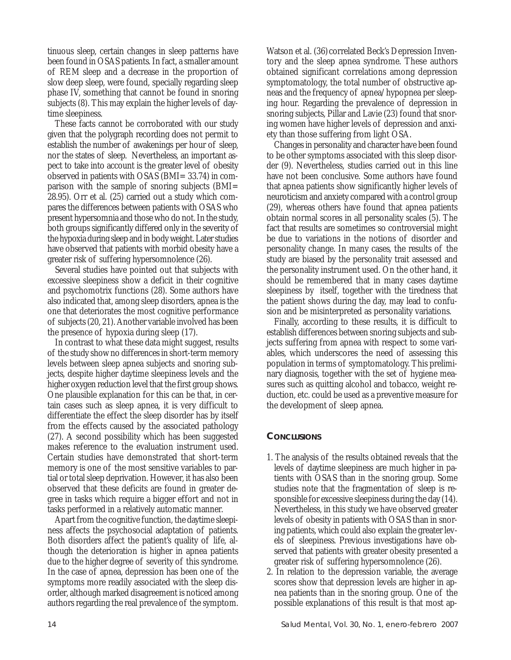tinuous sleep, certain changes in sleep patterns have been found in OSAS patients. In fact, a smaller amount of REM sleep and a decrease in the proportion of slow deep sleep, were found, specially regarding sleep phase IV, something that cannot be found in snoring subjects (8). This may explain the higher levels of daytime sleepiness.

These facts cannot be corroborated with our study given that the polygraph recording does not permit to establish the number of awakenings per hour of sleep, nor the states of sleep. Nevertheless, an important aspect to take into account is the greater level of obesity observed in patients with OSAS (BMI= 33.74) in comparison with the sample of snoring subjects (BMI= 28.95). Orr et al. (25) carried out a study which compares the differences between patients with OSAS who present hypersomnia and those who do not. In the study, both groups significantly differed only in the severity of the hypoxia during sleep and in body weight. Later studies have observed that patients with morbid obesity have a greater risk of suffering hypersomnolence (26).

Several studies have pointed out that subjects with excessive sleepiness show a deficit in their cognitive and psychomotrix functions (28). Some authors have also indicated that, among sleep disorders, apnea is the one that deteriorates the most cognitive performance of subjects (20, 21). Another variable involved has been the presence of hypoxia during sleep (17).

In contrast to what these data might suggest, results of the study show no differences in short-term memory levels between sleep apnea subjects and snoring subjects, despite higher daytime sleepiness levels and the higher oxygen reduction level that the first group shows. One plausible explanation for this can be that, in certain cases such as sleep apnea, it is very difficult to differentiate the effect the sleep disorder has by itself from the effects caused by the associated pathology (27). A second possibility which has been suggested makes reference to the evaluation instrument used. Certain studies have demonstrated that short-term memory is one of the most sensitive variables to partial or total sleep deprivation. However, it has also been observed that these deficits are found in greater degree in tasks which require a bigger effort and not in tasks performed in a relatively automatic manner.

Apart from the cognitive function, the daytime sleepiness affects the psychosocial adaptation of patients. Both disorders affect the patient's quality of life, although the deterioration is higher in apnea patients due to the higher degree of severity of this syndrome. In the case of apnea, depression has been one of the symptoms more readily associated with the sleep disorder, although marked disagreement is noticed among authors regarding the real prevalence of the symptom.

Watson et al. (36) correlated Beck's Depression Inventory and the sleep apnea syndrome. These authors obtained significant correlations among depression symptomatology, the total number of obstructive apneas and the frequency of apnea/hypopnea per sleeping hour. Regarding the prevalence of depression in snoring subjects, Pillar and Lavie (23) found that snoring women have higher levels of depression and anxiety than those suffering from light OSA.

Changes in personality and character have been found to be other symptoms associated with this sleep disorder (9). Nevertheless, studies carried out in this line have not been conclusive. Some authors have found that apnea patients show significantly higher levels of neuroticism and anxiety compared with a control group (29), whereas others have found that apnea patients obtain normal scores in all personality scales (5). The fact that results are sometimes so controversial might be due to variations in the notions of disorder and personality change. In many cases, the results of the study are biased by the personality trait assessed and the personality instrument used. On the other hand, it should be remembered that in many cases daytime sleepiness by itself, together with the tiredness that the patient shows during the day, may lead to confusion and be misinterpreted as personality variations.

Finally, according to these results, it is difficult to establish differences between snoring subjects and subjects suffering from apnea with respect to some variables, which underscores the need of assessing this population in terms of symptomatology. This preliminary diagnosis, together with the set of hygiene measures such as quitting alcohol and tobacco, weight reduction, etc. could be used as a preventive measure for the development of sleep apnea.

# **CONCLUSIONS**

- 1. The analysis of the results obtained reveals that the levels of daytime sleepiness are much higher in patients with OSAS than in the snoring group. Some studies note that the fragmentation of sleep is responsible for excessive sleepiness during the day (14). Nevertheless, in this study we have observed greater levels of obesity in patients with OSAS than in snoring patients, which could also explain the greater levels of sleepiness. Previous investigations have observed that patients with greater obesity presented a greater risk of suffering hypersomnolence (26).
- 2. In relation to the depression variable, the average scores show that depression levels are higher in apnea patients than in the snoring group. One of the possible explanations of this result is that most ap-